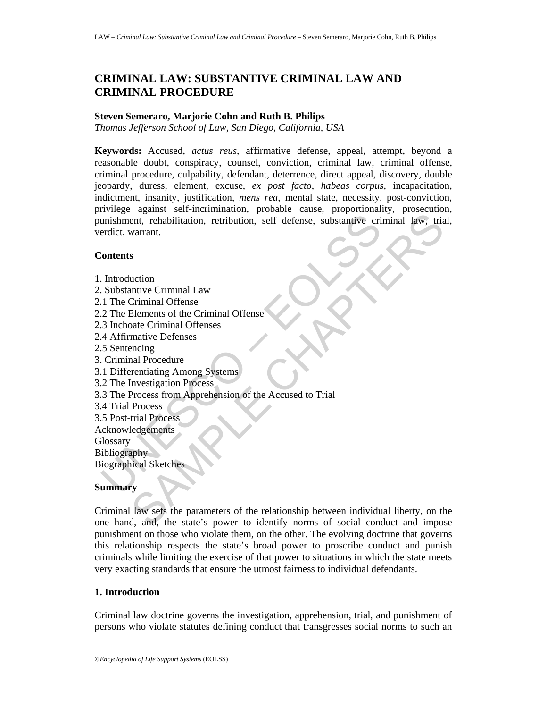# **CRIMINAL LAW: SUBSTANTIVE CRIMINAL LAW AND CRIMINAL PROCEDURE**

#### **Steven Semeraro, Marjorie Cohn and Ruth B. Philips**

*Thomas Jefferson School of Law, San Diego, California, USA* 

Union<br>
unishment, rehabilitation, retribution, self defense, substantive criencict, warrant.<br>
Contents<br>
Union Contents<br>
Union Contents<br>
2 The Elements of the Criminal Offense<br>
2 The Elements of the Criminal Offense<br>
2 The experiment, rehabilitation, retribution, self defense, substantive criminal law, trial<br>experiment.<br>S<br>S<br>S. Chapter Chapter Chapter Chapter State Criminal Offense<br>Criminal Offense<br>cution<br>and Criminal Offense<br>and Criminal Off **Keywords:** Accused, *actus reus*, affirmative defense, appeal, attempt, beyond a reasonable doubt, conspiracy, counsel, conviction, criminal law, criminal offense, criminal procedure, culpability, defendant, deterrence, direct appeal, discovery, double jeopardy, duress, element, excuse, *ex post facto*, *habeas corpus*, incapacitation, indictment, insanity, justification, *mens rea*, mental state, necessity, post-conviction, privilege against self-incrimination, probable cause, proportionality, prosecution, punishment, rehabilitation, retribution, self defense, substantive criminal law, trial, verdict, warrant.

#### **Contents**

- 1. Introduction
- 2. Substantive Criminal Law
- 2.1 The Criminal Offense
- 2.2 The Elements of the Criminal Offense
- 2.3 Inchoate Criminal Offenses
- 2.4 Affirmative Defenses
- 2.5 Sentencing
- 3. Criminal Procedure
- 3.1 Differentiating Among Systems
- 3.2 The Investigation Process
- 3.3 The Process from Apprehension of the Accused to Trial
- 3.4 Trial Process
- 3.5 Post-trial Process
- Acknowledgements

**Glossary** 

Bibliography

Biographical Sketches

#### **Summary**

Criminal law sets the parameters of the relationship between individual liberty, on the one hand, and, the state's power to identify norms of social conduct and impose punishment on those who violate them, on the other. The evolving doctrine that governs this relationship respects the state's broad power to proscribe conduct and punish criminals while limiting the exercise of that power to situations in which the state meets very exacting standards that ensure the utmost fairness to individual defendants.

# **1. Introduction**

Criminal law doctrine governs the investigation, apprehension, trial, and punishment of persons who violate statutes defining conduct that transgresses social norms to such an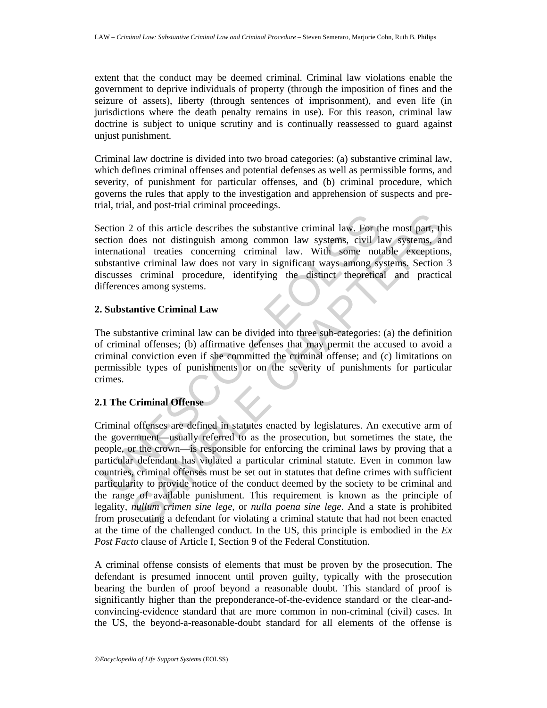extent that the conduct may be deemed criminal. Criminal law violations enable the government to deprive individuals of property (through the imposition of fines and the seizure of assets), liberty (through sentences of imprisonment), and even life (in jurisdictions where the death penalty remains in use). For this reason, criminal law doctrine is subject to unique scrutiny and is continually reassessed to guard against unjust punishment.

Criminal law doctrine is divided into two broad categories: (a) substantive criminal law, which defines criminal offenses and potential defenses as well as permissible forms, and severity, of punishment for particular offenses, and (b) criminal procedure, which governs the rules that apply to the investigation and apprehension of suspects and pretrial, trial, and post-trial criminal proceedings.

Section 2 of this article describes the substantive criminal law. For the most part, this section does not distinguish among common law systems, civil law systems, and international treaties concerning criminal law. With some notable exceptions, substantive criminal law does not vary in significant ways among systems. Section 3 discusses criminal procedure, identifying the distinct theoretical and practical differences among systems.

# **2. Substantive Criminal Law**

The substantive criminal law can be divided into three sub-categories: (a) the definition of criminal offenses; (b) affirmative defenses that may permit the accused to avoid a criminal conviction even if she committed the criminal offense; and (c) limitations on permissible types of punishments or on the severity of punishments for particular crimes.

# **2.1 The Criminal Offense**

ection 2 of this article describes the substantive criminal law. For the<br>ection does not distinguish among common law systems, civil laternational treaties concerning criminal law. With some not<br>bbstantive criminal law doe 2 of this article describes the substantive criminal law. For the most part, th<br>docs not distinguish among common law systems, civil law systems, amonal treaties concerning criminal law. With some notable exception<br>on an t Criminal offenses are defined in statutes enacted by legislatures. An executive arm of the government—usually referred to as the prosecution, but sometimes the state, the people, or the crown—is responsible for enforcing the criminal laws by proving that a particular defendant has violated a particular criminal statute. Even in common law countries, criminal offenses must be set out in statutes that define crimes with sufficient particularity to provide notice of the conduct deemed by the society to be criminal and the range of available punishment. This requirement is known as the principle of legality, *nullum crimen sine lege,* or *nulla poena sine lege*. And a state is prohibited from prosecuting a defendant for violating a criminal statute that had not been enacted at the time of the challenged conduct. In the US, this principle is embodied in the *Ex Post Facto* clause of Article I, Section 9 of the Federal Constitution.

A criminal offense consists of elements that must be proven by the prosecution. The defendant is presumed innocent until proven guilty, typically with the prosecution bearing the burden of proof beyond a reasonable doubt. This standard of proof is significantly higher than the preponderance-of-the-evidence standard or the clear-andconvincing-evidence standard that are more common in non-criminal (civil) cases. In the US, the beyond-a-reasonable-doubt standard for all elements of the offense is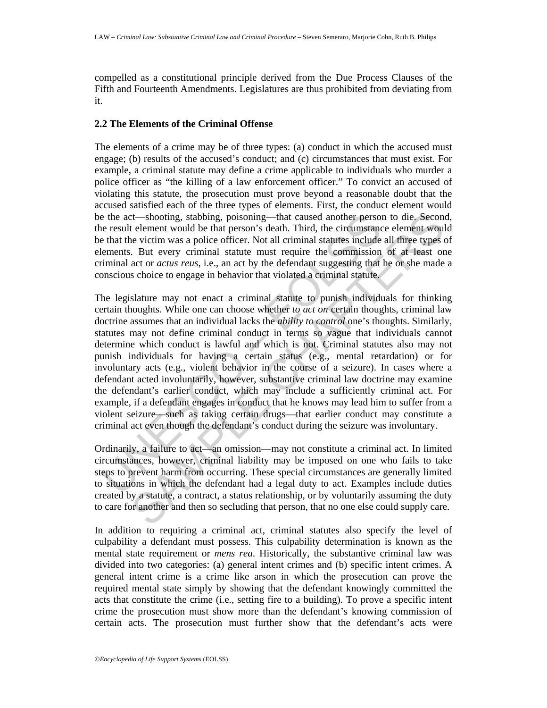compelled as a constitutional principle derived from the Due Process Clauses of the Fifth and Fourteenth Amendments. Legislatures are thus prohibited from deviating from it.

### **2.2 The Elements of the Criminal Offense**

The elements of a crime may be of three types: (a) conduct in which the accused must engage; (b) results of the accused's conduct; and (c) circumstances that must exist. For example, a criminal statute may define a crime applicable to individuals who murder a police officer as "the killing of a law enforcement officer." To convict an accused of violating this statute, the prosecution must prove beyond a reasonable doubt that the accused satisfied each of the three types of elements. First, the conduct element would be the act—shooting, stabbing, poisoning—that caused another person to die. Second, the result element would be that person's death. Third, the circumstance element would be that the victim was a police officer. Not all criminal statutes include all three types of elements. But every criminal statute must require the commission of at least one criminal act or *actus reus*, i.e., an act by the defendant suggesting that he or she made a conscious choice to engage in behavior that violated a criminal statute.

e the act—shooting, stabbing, poisoning—that caused another person<br>re result element would be that person's death. Third, the circumstrance<br>that the victim was a police officer. Not all criminal statutes include<br>telements. ct—shooting, stabbing, poisoning—that caused another person to die. Second<br>telement would be that person's selech. Third, the circumstance element would<br>ne victim was a police officer. Not all criminal statutes include all The legislature may not enact a criminal statute to punish individuals for thinking certain thoughts. While one can choose whether *to act on* certain thoughts, criminal law doctrine assumes that an individual lacks the *ability to control* one's thoughts. Similarly, statutes may not define criminal conduct in terms so vague that individuals cannot determine which conduct is lawful and which is not. Criminal statutes also may not punish individuals for having a certain status (e.g., mental retardation) or for involuntary acts (e.g., violent behavior in the course of a seizure). In cases where a defendant acted involuntarily, however, substantive criminal law doctrine may examine the defendant's earlier conduct, which may include a sufficiently criminal act. For example, if a defendant engages in conduct that he knows may lead him to suffer from a violent seizure—such as taking certain drugs—that earlier conduct may constitute a criminal act even though the defendant's conduct during the seizure was involuntary.

Ordinarily, a failure to act—an omission—may not constitute a criminal act. In limited circumstances, however, criminal liability may be imposed on one who fails to take steps to prevent harm from occurring. These special circumstances are generally limited to situations in which the defendant had a legal duty to act. Examples include duties created by a statute, a contract, a status relationship, or by voluntarily assuming the duty to care for another and then so secluding that person, that no one else could supply care.

In addition to requiring a criminal act, criminal statutes also specify the level of culpability a defendant must possess. This culpability determination is known as the mental state requirement or *mens rea*. Historically, the substantive criminal law was divided into two categories: (a) general intent crimes and (b) specific intent crimes. A general intent crime is a crime like arson in which the prosecution can prove the required mental state simply by showing that the defendant knowingly committed the acts that constitute the crime (i.e., setting fire to a building). To prove a specific intent crime the prosecution must show more than the defendant's knowing commission of certain acts. The prosecution must further show that the defendant's acts were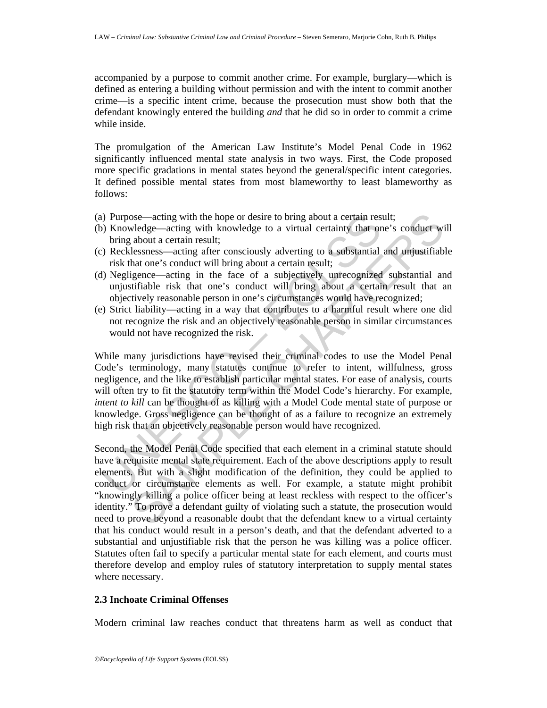accompanied by a purpose to commit another crime. For example, burglary—which is defined as entering a building without permission and with the intent to commit another crime—is a specific intent crime, because the prosecution must show both that the defendant knowingly entered the building *and* that he did so in order to commit a crime while inside.

The promulgation of the American Law Institute's Model Penal Code in 1962 significantly influenced mental state analysis in two ways. First, the Code proposed more specific gradations in mental states beyond the general/specific intent categories. It defined possible mental states from most blameworthy to least blameworthy as follows:

- (a) Purpose—acting with the hope or desire to bring about a certain result;
- (b) Knowledge—acting with knowledge to a virtual certainty that one's conduct will bring about a certain result;
- (c) Recklessness—acting after consciously adverting to a substantial and unjustifiable risk that one's conduct will bring about a certain result;
- (d) Negligence—acting in the face of a subjectively unrecognized substantial and unjustifiable risk that one's conduct will bring about a certain result that an objectively reasonable person in one's circumstances would have recognized;
- (e) Strict liability—acting in a way that contributes to a harmful result where one did not recognize the risk and an objectively reasonable person in similar circumstances would not have recognized the risk.

(a) Purpose—acting with the hope or desire to bring about a certain res bring obly Monovledge –acting with knowledge to a virtual certainty that or bring about a certain result;<br>
Unit apout a certain result;<br>
Unit apout a While many jurisdictions have revised their criminal codes to use the Model Penal Code's terminology, many statutes continue to refer to intent, willfulness, gross negligence, and the like to establish particular mental states. For ease of analysis, courts will often try to fit the statutory term within the Model Code's hierarchy. For example, *intent to kill* can be thought of as killing with a Model Code mental state of purpose or knowledge. Gross negligence can be thought of as a failure to recognize an extremely high risk that an objectively reasonable person would have recognized.

ose—acting with the hope or desire to bring about a certain result;<br>
velobe —acting with knowledge to a virtual certainty that one's conduct will<br>
alabout a certain result;<br>
lasones—acting after consciously adverting to a Second, the Model Penal Code specified that each element in a criminal statute should have a requisite mental state requirement. Each of the above descriptions apply to result elements. But with a slight modification of the definition, they could be applied to conduct or circumstance elements as well. For example, a statute might prohibit "knowingly killing a police officer being at least reckless with respect to the officer's identity." To prove a defendant guilty of violating such a statute, the prosecution would need to prove beyond a reasonable doubt that the defendant knew to a virtual certainty that his conduct would result in a person's death, and that the defendant adverted to a substantial and unjustifiable risk that the person he was killing was a police officer. Statutes often fail to specify a particular mental state for each element, and courts must therefore develop and employ rules of statutory interpretation to supply mental states where necessary.

# **2.3 Inchoate Criminal Offenses**

Modern criminal law reaches conduct that threatens harm as well as conduct that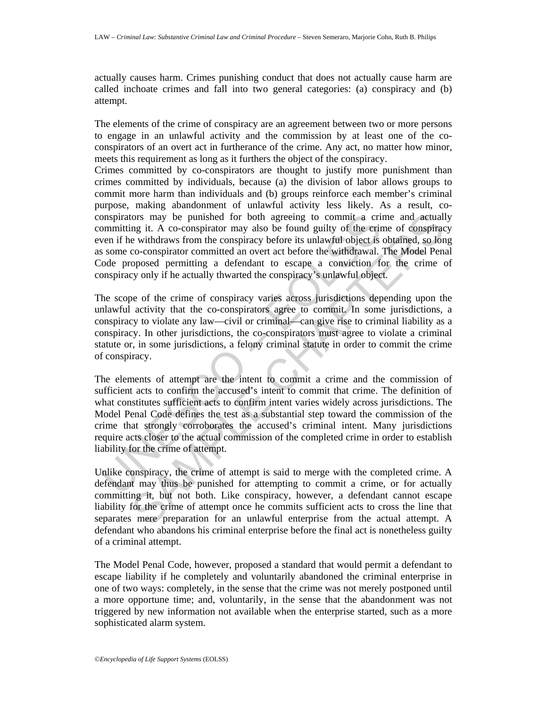actually causes harm. Crimes punishing conduct that does not actually cause harm are called inchoate crimes and fall into two general categories: (a) conspiracy and (b) attempt.

The elements of the crime of conspiracy are an agreement between two or more persons to engage in an unlawful activity and the commission by at least one of the coconspirators of an overt act in furtherance of the crime. Any act, no matter how minor, meets this requirement as long as it furthers the object of the conspiracy.

Crimes committed by co-conspirators are thought to justify more punishment than crimes committed by individuals, because (a) the division of labor allows groups to commit more harm than individuals and (b) groups reinforce each member's criminal purpose, making abandonment of unlawful activity less likely. As a result, coconspirators may be punished for both agreeing to commit a crime and actually committing it. A co-conspirator may also be found guilty of the crime of conspiracy even if he withdraws from the conspiracy before its unlawful object is obtained, so long as some co-conspirator committed an overt act before the withdrawal. The Model Penal Code proposed permitting a defendant to escape a conviction for the crime of conspiracy only if he actually thwarted the conspiracy's unlawful object.

The scope of the crime of conspiracy varies across jurisdictions depending upon the unlawful activity that the co-conspirators agree to commit. In some jurisdictions, a conspiracy to violate any law—civil or criminal—can give rise to criminal liability as a conspiracy. In other jurisdictions, the co-conspirators must agree to violate a criminal statute or, in some jurisdictions, a felony criminal statute in order to commit the crime of conspiracy.

ompinitators may be punished for both agreeing to commit a crimominiting it. A co-conspirator may also be found guilty of the criminal weven if he withdraws from the conspirate yelofre its unlawful object is some co-conspi for smay be punished for both agreeing to commit a crime and aetuall<br>mg it. A co-conspirator may also be found guilty of the erien of conspirac-<br>e withdraws from the conspiracy before its unlawful object is obtained, so lo The elements of attempt are the intent to commit a crime and the commission of sufficient acts to confirm the accused's intent to commit that crime. The definition of what constitutes sufficient acts to confirm intent varies widely across jurisdictions. The Model Penal Code defines the test as a substantial step toward the commission of the crime that strongly corroborates the accused's criminal intent. Many jurisdictions require acts closer to the actual commission of the completed crime in order to establish liability for the crime of attempt.

Unlike conspiracy, the crime of attempt is said to merge with the completed crime. A defendant may thus be punished for attempting to commit a crime, or for actually committing it, but not both. Like conspiracy, however, a defendant cannot escape liability for the crime of attempt once he commits sufficient acts to cross the line that separates mere preparation for an unlawful enterprise from the actual attempt. A defendant who abandons his criminal enterprise before the final act is nonetheless guilty of a criminal attempt.

The Model Penal Code, however, proposed a standard that would permit a defendant to escape liability if he completely and voluntarily abandoned the criminal enterprise in one of two ways: completely, in the sense that the crime was not merely postponed until a more opportune time; and, voluntarily, in the sense that the abandonment was not triggered by new information not available when the enterprise started, such as a more sophisticated alarm system.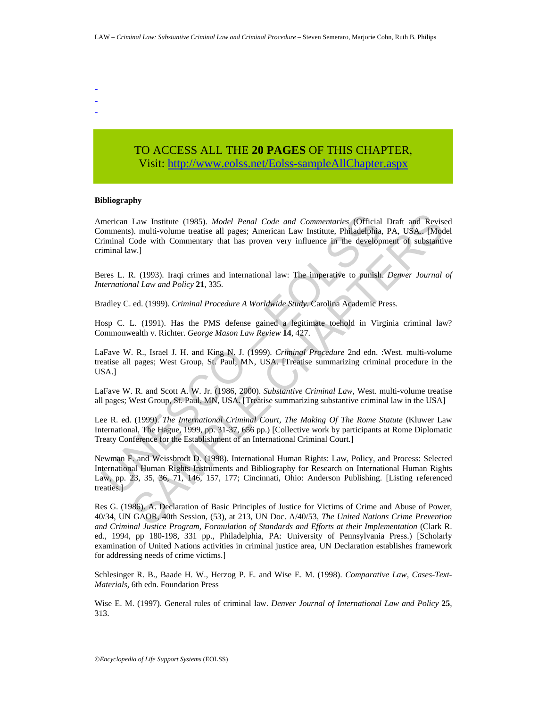- - -

> TO ACCESS ALL THE **20 PAGES** OF THIS CHAPTER, Visit[: http://www.eolss.net/Eolss-sampleAllChapter.aspx](https://www.eolss.net/ebooklib/sc_cart.aspx?File=E6-31-02-04)

#### **Bibliography**

merican Law Institute (1985). *Model Penal Code and Commentaries* (Official comments). multi-volume treatise all pages; American Law Institute, Philadelphia, riminal Code with Commentary that has proven very influence in t Law Institute (1985). *Model Penal Code and Commentaries* (Official Draft and Reviss<br>
2.). multi-volume treatise all pages; American Law Institute, Philadelphia, PA, USA... [Mod<br>
Code with Commentary that has proven very i American Law Institute (1985). *Model Penal Code and Commentaries* (Official Draft and Revised Comments). multi-volume treatise all pages; American Law Institute, Philadelphia, PA, USA.. [Model Criminal Code with Commentary that has proven very influence in the development of substantive criminal law.]

Beres L. R. (1993). Iraqi crimes and international law: The imperative to punish. *Denver Journal of International Law and Policy* **21**, 335.

Bradley C. ed. (1999). *Criminal Procedure A Worldwide Study*. Carolina Academic Press.

Hosp C. L. (1991). Has the PMS defense gained a legitimate toehold in Virginia criminal law? Commonwealth v. Richter. *George Mason Law Review* **14**, 427.

LaFave W. R., Israel J. H. and King N. J. (1999). *Criminal Procedure* 2nd edn. :West. multi-volume treatise all pages; West Group, St. Paul, MN, USA. [Treatise summarizing criminal procedure in the USA.]

LaFave W. R. and Scott A. W. Jr. (1986, 2000). *Substantive Criminal Law*, West. multi-volume treatise all pages; West Group, St. Paul, MN, USA. [Treatise summarizing substantive criminal law in the USA]

Lee R. ed. (1999). *The International Criminal Court, The Making Of The Rome Statute* (Kluwer Law International, The Hague, 1999, pp. 31-37, 656 pp.) [Collective work by participants at Rome Diplomatic Treaty Conference for the Establishment of an International Criminal Court.]

Newman F. and Weissbrodt D. (1998). International Human Rights: Law, Policy, and Process: Selected International Human Rights Instruments and Bibliography for Research on International Human Rights Law, pp. 23, 35, 36, 71, 146, 157, 177; Cincinnati, Ohio: Anderson Publishing. [Listing referenced treaties.]

Res G. (1986). A. Declaration of Basic Principles of Justice for Victims of Crime and Abuse of Power, 40/34, UN GAOR, 40th Session, (53), at 213, UN Doc. A/40/53, *The United Nations Crime Prevention and Criminal Justice Program, Formulation of Standards and Efforts at their Implementation* (Clark R. ed., 1994, pp 180-198, 331 pp., Philadelphia, PA: University of Pennsylvania Press.) [Scholarly examination of United Nations activities in criminal justice area, UN Declaration establishes framework for addressing needs of crime victims.]

Schlesinger R. B., Baade H. W., Herzog P. E. and Wise E. M. (1998). *Comparative Law, Cases-Text-Materials,* 6th edn. Foundation Press

Wise E. M. (1997). General rules of criminal law. *Denver Journal of International Law and Policy* **25**, 313.